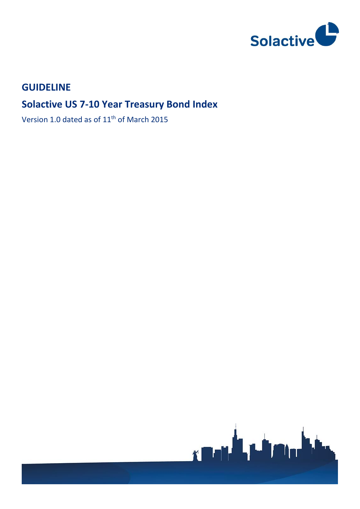

# **GUIDELINE**

# **Solactive US 7-10 Year Treasury Bond Index**

Version 1.0 dated as of 11<sup>th</sup> of March 2015

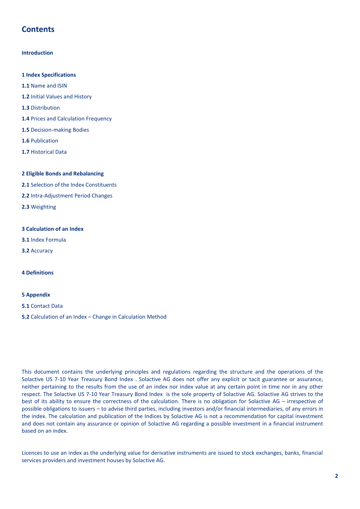# **Contents**

#### **Introduction**

- **1 Index Specifications**
- **1.1** Name and ISIN
- **1.2** Initial Values and History
- **1.3** Distribution
- **1.4** Prices and Calculation Frequency
- **1.5** Decision-making Bodies
- **1.6** Publication
- **1.7** Historical Data

#### **2 Eligible Bonds and Rebalancing**

- **2.1** Selection of the Index Constituents
- **2.2** Intra-Adjustment Period Changes
- **2.3** Weighting

#### **3 Calculation of an Index**

- **3.1** Index Formula
- **3.2** Accuracy

#### **4 Definitions**

#### **5 Appendix**

- **5.1** Contact Data
- **5.2** Calculation of an Index Change in Calculation Method

This document contains the underlying principles and regulations regarding the structure and the operations of the Solactive US 7-10 Year Treasury Bond Index . Solactive AG does not offer any explicit or tacit guarantee or assurance, neither pertaining to the results from the use of an index nor index value at any certain point in time nor in any other respect. The Solactive US 7-10 Year Treasury Bond Index is the sole property of Solactive AG. Solactive AG strives to the best of its ability to ensure the correctness of the calculation. There is no obligation for Solactive AG – irrespective of possible obligations to issuers – to advise third parties, including investors and/or financial intermediaries, of any errors in the index. The calculation and publication of the Indices by Solactive AG is not a recommendation for capital investment and does not contain any assurance or opinion of Solactive AG regarding a possible investment in a financial instrument based on an index.

Licences to use an index as the underlying value for derivative instruments are issued to stock exchanges, banks, financial services providers and investment houses by Solactive AG.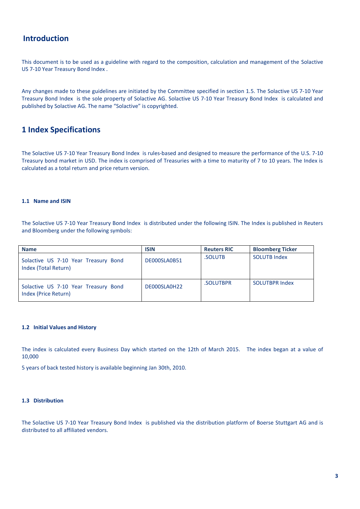### **Introduction**

This document is to be used as a guideline with regard to the composition, calculation and management of the Solactive US 7-10 Year Treasury Bond Index .

Any changes made to these guidelines are initiated by the Committee specified in section 1.5. The Solactive US 7-10 Year Treasury Bond Index is the sole property of Solactive AG. Solactive US 7-10 Year Treasury Bond Index is calculated and published by Solactive AG. The name "Solactive" is copyrighted.

## **1 Index Specifications**

The Solactive US 7-10 Year Treasury Bond Index is rules-based and designed to measure the performance of the U.S. 7-10 Treasury bond market in USD. The index is comprised of Treasuries with a time to maturity of 7 to 10 years. The Index is calculated as a total return and price return version.

#### **1.1 Name and ISIN**

The Solactive US 7-10 Year Treasury Bond Index is distributed under the following ISIN. The Index is published in Reuters and Bloomberg under the following symbols:

| <b>Name</b>                                                  | <b>ISIN</b>  | <b>Reuters RIC</b> | <b>Bloomberg Ticker</b> |
|--------------------------------------------------------------|--------------|--------------------|-------------------------|
| Solactive US 7-10 Year Treasury Bond<br>Index (Total Return) | DE000SLA0B51 | .SOLUTB            | <b>SOLUTB Index</b>     |
| Solactive US 7-10 Year Treasury Bond<br>Index (Price Return) | DE000SLA0H22 | .SOLUTBPR          | <b>SOLUTBPR Index</b>   |

#### **1.2 Initial Values and History**

The index is calculated every Business Day which started on the 12th of March 2015. The index began at a value of 10,000

5 years of back tested history is available beginning Jan 30th, 2010.

#### **1.3 Distribution**

The Solactive US 7-10 Year Treasury Bond Index is published via the distribution platform of Boerse Stuttgart AG and is distributed to all affiliated vendors.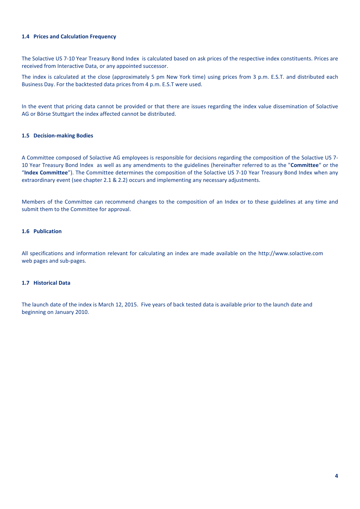#### **1.4 Prices and Calculation Frequency**

The Solactive US 7-10 Year Treasury Bond Index is calculated based on ask prices of the respective index constituents. Prices are received from Interactive Data, or any appointed successor.

The index is calculated at the close (approximately 5 pm New York time) using prices from 3 p.m. E.S.T. and distributed each Business Day. For the backtested data prices from 4 p.m. E.S.T were used.

In the event that pricing data cannot be provided or that there are issues regarding the index value dissemination of Solactive AG or Börse Stuttgart the index affected cannot be distributed.

#### **1.5 Decision-making Bodies**

A Committee composed of Solactive AG employees is responsible for decisions regarding the composition of the Solactive US 7- 10 Year Treasury Bond Index as well as any amendments to the guidelines (hereinafter referred to as the "**Committee**" or the "**Index Committee**"). The Committee determines the composition of the Solactive US 7-10 Year Treasury Bond Index when any extraordinary event (see chapter 2.1 & 2.2) occurs and implementing any necessary adjustments.

Members of the Committee can recommend changes to the composition of an Index or to these guidelines at any time and submit them to the Committee for approval.

#### **1.6 Publication**

All specifications and information relevant for calculating an index are made available on the http://www.solactive.com web pages and sub-pages.

#### **1.7 Historical Data**

The launch date of the index is March 12, 2015. Five years of back tested data is available prior to the launch date and beginning on January 2010.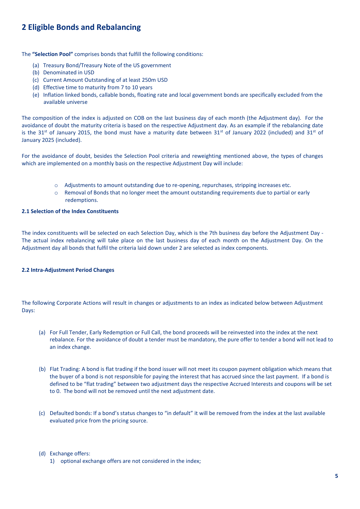# **2 Eligible Bonds and Rebalancing**

The **"Selection Pool"** comprises bonds that fulfill the following conditions:

- (a) Treasury Bond/Treasury Note of the US government
- (b) Denominated in USD
- (c) Current Amount Outstanding of at least 250m USD
- (d) Effective time to maturity from 7 to 10 years
- (e) Inflation linked bonds, callable bonds, floating rate and local government bonds are specifically excluded from the available universe

The composition of the index is adjusted on COB on the last business day of each month (the Adjustment day). For the avoidance of doubt the maturity criteria is based on the respective Adjustment day. As an example if the rebalancing date is the 31<sup>st</sup> of January 2015, the bond must have a maturity date between 31<sup>st</sup> of January 2022 (included) and 31<sup>st</sup> of January 2025 (included).

For the avoidance of doubt, besides the Selection Pool criteria and reweighting mentioned above, the types of changes which are implemented on a monthly basis on the respective Adjustment Day will include:

- o Adjustments to amount outstanding due to re-opening, repurchases, stripping increases etc.
- o Removal of Bonds that no longer meet the amount outstanding requirements due to partial or early redemptions.

### **2.1 Selection of the Index Constituents**

The index constituents will be selected on each Selection Day, which is the 7th business day before the Adjustment Day - The actual index rebalancing will take place on the last business day of each month on the Adjustment Day. On the Adjustment day all bonds that fulfil the criteria laid down under 2 are selected as index components.

#### **2.2 Intra-Adjustment Period Changes**

The following Corporate Actions will result in changes or adjustments to an index as indicated below between Adjustment Days:

- (a) For Full Tender, Early Redemption or Full Call, the bond proceeds will be reinvested into the index at the next rebalance. For the avoidance of doubt a tender must be mandatory, the pure offer to tender a bond will not lead to an index change.
- (b) Flat Trading: A bond is flat trading if the bond issuer will not meet its coupon payment obligation which means that the buyer of a bond is not responsible for paying the interest that has accrued since the last payment. If a bond is defined to be "flat trading" between two adjustment days the respective Accrued Interests and coupons will be set to 0. The bond will not be removed until the next adjustment date.
- (c) Defaulted bonds: If a bond's status changes to "in default" it will be removed from the index at the last available evaluated price from the pricing source.

#### (d) Exchange offers:

1) optional exchange offers are not considered in the index;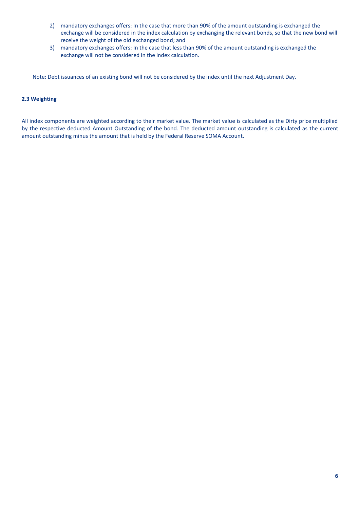- 2) mandatory exchanges offers: In the case that more than 90% of the amount outstanding is exchanged the exchange will be considered in the index calculation by exchanging the relevant bonds, so that the new bond will receive the weight of the old exchanged bond; and
- 3) mandatory exchanges offers: In the case that less than 90% of the amount outstanding is exchanged the exchange will not be considered in the index calculation.

Note: Debt issuances of an existing bond will not be considered by the index until the next Adjustment Day.

#### **2.3 Weighting**

All index components are weighted according to their market value. The market value is calculated as the Dirty price multiplied by the respective deducted Amount Outstanding of the bond. The deducted amount outstanding is calculated as the current amount outstanding minus the amount that is held by the Federal Reserve SOMA Account.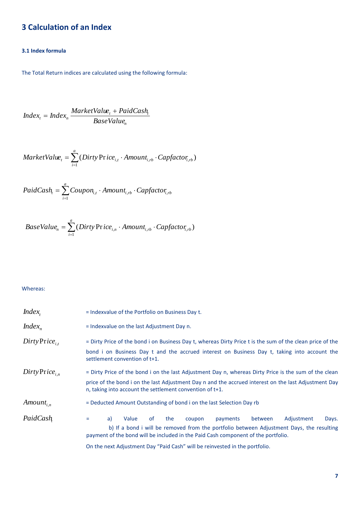# **3 Calculation of an Index**

### **3.1 Index formula**

The Total Return indices are calculated using the following formula:

$$
Index_{t} = Index_{n} \frac{MarketValue_{t} + PaidCash_{t}}{BaseValue_{n}}
$$

$$
MarketValue_{t} = \sum_{i=1}^{a} (Dirty Price_{i,t} \cdot Amount_{i,rb} \cdot Capfactor_{i,rb})
$$

$$
PaidCash_{t} = \sum_{i=1}^{a} Coupon_{i,t} \cdot Amount_{i,rb} \cdot Capfactor_{i,rb}
$$

BaseValue<sub>n</sub> = 
$$
\sum_{i=1}^{a}
$$
 (Dirty Price<sub>i,n</sub> · Amount<sub>i,rb</sub> · Capfactor<sub>i,rb</sub>)

### Whereas:

| $Index_{t}$                  | = Indexvalue of the Portfolio on Business Day t.                                                                                                                                                                                                                                                                                                      |
|------------------------------|-------------------------------------------------------------------------------------------------------------------------------------------------------------------------------------------------------------------------------------------------------------------------------------------------------------------------------------------------------|
| $Index_{n}$                  | = Indexvalue on the last Adjustment Day n.                                                                                                                                                                                                                                                                                                            |
| $Dirty\, \text{Price}_{i}$   | = Dirty Price of the bond i on Business Day t, whereas Dirty Price t is the sum of the clean price of the<br>bond i on Business Day t and the accrued interest on Business Day t, taking into account the<br>settlement convention of t+1.                                                                                                            |
| $Dirty\, \text{Price}_{i,n}$ | = Dirty Price of the bond i on the last Adjustment Day n, whereas Dirty Price is the sum of the clean<br>price of the bond i on the last Adjustment Day n and the accrued interest on the last Adjustment Day<br>n, taking into account the settlement convention of t+1.                                                                             |
| $Amount_{i,n}$               | = Deducted Amount Outstanding of bond i on the last Selection Day rb                                                                                                                                                                                                                                                                                  |
| PaidCash                     | the<br>Adjustment<br>a)<br>Value<br>0f<br>payments<br>between<br>Days.<br>coupon<br>=<br>b) If a bond i will be removed from the portfolio between Adjustment Days, the resulting<br>payment of the bond will be included in the Paid Cash component of the portfolio.<br>On the next Adjustment Day "Paid Cash" will be reinvested in the portfolio. |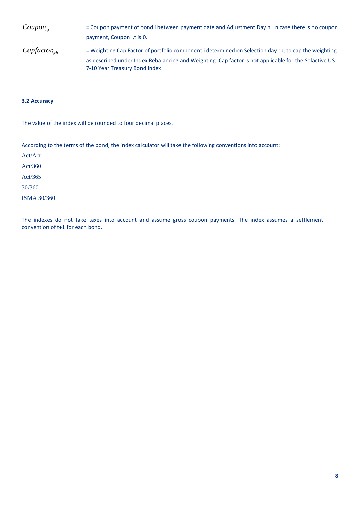| Coupon <sub>i</sub>  | = Coupon payment of bond i between payment date and Adjustment Day n. In case there is no coupon                                       |
|----------------------|----------------------------------------------------------------------------------------------------------------------------------------|
|                      | payment, Coupon i,t is 0.                                                                                                              |
| $Capfactor_{i_{rb}}$ | = Weighting Cap Factor of portfolio component i determined on Selection day rb, to cap the weighting                                   |
|                      | as described under Index Rebalancing and Weighting. Cap factor is not applicable for the Solactive US<br>7-10 Year Treasury Bond Index |

#### **3.2 Accuracy**

The value of the index will be rounded to four decimal places.

According to the terms of the bond, the index calculator will take the following conventions into account:

Act/Act Act/360 Act/365 30/360 ISMA 30/360

The indexes do not take taxes into account and assume gross coupon payments. The index assumes a settlement convention of t+1 for each bond.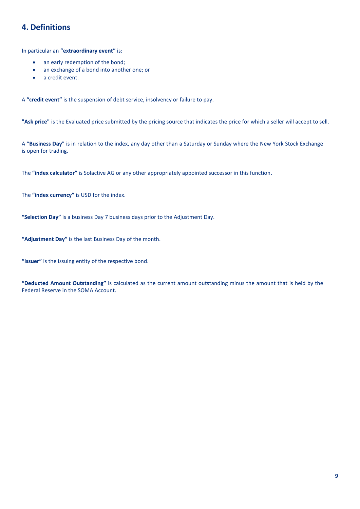# **4. Definitions**

In particular an **"extraordinary event"** is:

- an early redemption of the bond;
- an exchange of a bond into another one; or
- a credit event.

A **"credit event"** is the suspension of debt service, insolvency or failure to pay.

**"Ask price"** is the Evaluated price submitted by the pricing source that indicates the price for which a seller will accept to sell.

A "**Business Day**" is in relation to the index, any day other than a Saturday or Sunday where the New York Stock Exchange is open for trading.

The **"index calculator"** is Solactive AG or any other appropriately appointed successor in this function.

The **"index currency"** is USD for the index.

**"Selection Day"** is a business Day 7 business days prior to the Adjustment Day.

**"Adjustment Day"** is the last Business Day of the month.

**"Issuer"** is the issuing entity of the respective bond.

**"Deducted Amount Outstanding"** is calculated as the current amount outstanding minus the amount that is held by the Federal Reserve in the SOMA Account.